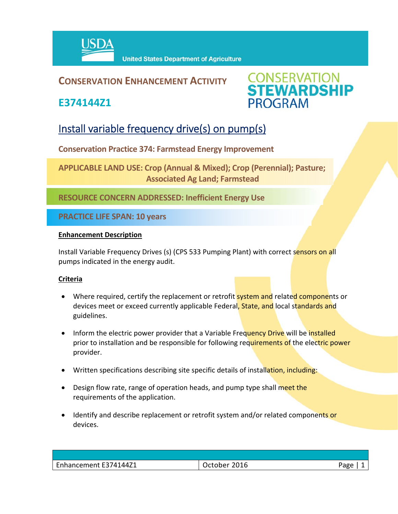

#### **CONSERVATION ENHANCEMENT ACTIVITY**

**E374144Z1**



### Install variable frequency drive(s) on pump(s)

**Conservation Practice 374: Farmstead Energy Improvement** 

**APPLICABLE LAND USE: Crop (Annual & Mixed); Crop (Perennial); Pasture; Associated Ag Land; Farmstead** 

**RESOURCE CONCERN ADDRESSED: Inefficient Energy Use**

**PRACTICE LIFE SPAN: 10 years**

#### **Enhancement Description**

Install Variable Frequency Drives (s) (CPS 533 Pumping Plant) with correct sensors on all pumps indicated in the energy audit.

#### **Criteria**

- Where required, certify the replacement or retrofit **system and** related components or devices meet or exceed currently applicable Federal, State, and local standards and guidelines.
- Inform the electric power provider that a Variable Frequency Drive will be installed prior to installation and be responsible for following requirements of the electric power provider.
- Written specifications describing site specific details of installation, including:
- Design flow rate, range of operation heads, and pump type shall meet the requirements of the application.
- Identify and describe replacement or retrofit system and/or related components or devices.

| Enhancement E374144Z1 | 2016<br><b>October</b> | Page |
|-----------------------|------------------------|------|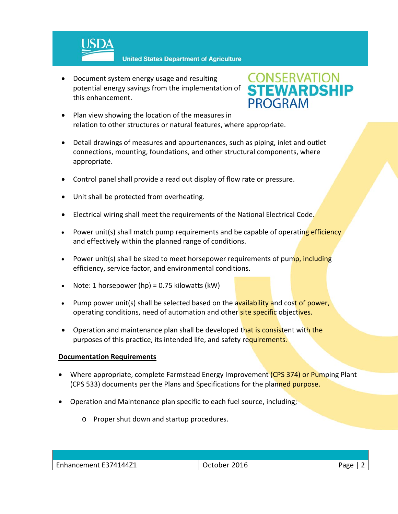

**United States Department of Agriculture** 

 Document system energy usage and resulting potential energy savings from the implementation of this enhancement.

## **CONSERVATION<br>STEWARDSHIP PROGRAM**

- Plan view showing the location of the measures in relation to other structures or natural features, where appropriate.
- Detail drawings of measures and appurtenances, such as piping, inlet and outlet connections, mounting, foundations, and other structural components, where appropriate.
- Control panel shall provide a read out display of flow rate or pressure.
- Unit shall be protected from overheating.
- Electrical wiring shall meet the requirements of the National Electrical Code.
- Power unit(s) shall match pump requirements and be capable of operating efficiency and effectively within the planned range of conditions.
- Power unit(s) shall be sized to meet horsepower requirements of pump, including efficiency, service factor, and environmental conditions.
- Note: 1 horsepower (hp) = 0.75 kilowatts (kW)
- Pump power unit(s) shall be selected based on the availability and cost of power, operating conditions, need of automation and other site specific objectives.
- Operation and maintenance plan shall be developed that is consistent with the purposes of this practice, its intended life, and safety requirements.

#### **Documentation Requirements**

- Where appropriate, complete Farmstead Energy Improvement (CPS 374) or Pumping Plant (CPS 533) documents per the Plans and Specifications for the planned purpose.
- Operation and Maintenance plan specific to each fuel source, including;
	- o Proper shut down and startup procedures.

| Enhancement E374144Z1 | $\cdot$ 2016<br>.Jctober | Page |
|-----------------------|--------------------------|------|